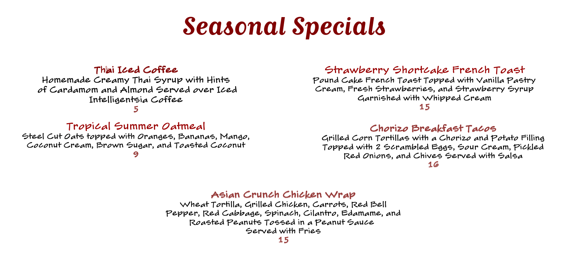## *Seasonal Specials*

## Thai Iced Coffee

Homemade Creamy Thai Syrup with Hints of Cardamom and Almond Served over Iced Intelligentsia Coffee 5

## Tropical Summer Oatmeal

Steel Cut Oats topped with Oranges, Bananas, Mango, Coconut Cream, Brown Sugar, and Toasted Coconut 9

## Strawberry Shortcake French Toast

Pound Cake French Toast Topped with Vanilla Pastry Cream, Fresh Strawberries, and Strawberry Syrup Garnished with Whipped Cream

#### 15

### Chorizo Breakfast Tacos

Grilled Corn Tortillas with a Chorizo and Potato Filling Topped with 2 Scrambled Eggs, Sour Cream, Pickled Red Onions, and Chives Served with Salsa

16

#### Asian Crunch Chicken Wrap

Wheat Tortilla, Grilled Chicken, Carrots, Red Bell Pepper, Red Cabbage, Spinach, Cilantro, Edamame, and Roasted Peanuts Tossed in a Peanut Sauce Served with Fries

15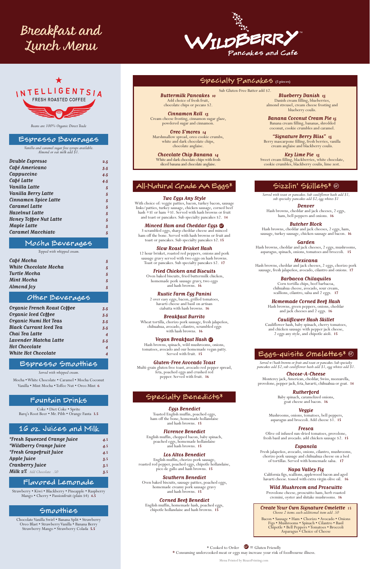*Beans are 100% Organic Direct Trade*

#### Espresso Beverages

*Vanilla and caramel sugar free syrups available. Almond or oat milk add \$1.*

| Double Espresso               | 2.5 |
|-------------------------------|-----|
| Café Americano                | 3.5 |
| Cappuccino                    | 4.5 |
| Café Latte                    | 4.5 |
| Vanilla Latte                 | 5   |
| Vanilla Berry Latte           | 5   |
| Cinnamon Spice Latte          | 5   |
| Caramel Latte                 | 5   |
| Hazelnut Latte                | 5   |
| <b>Honey Toffee Nut Latte</b> | 5   |
| <b>Maple Latte</b>            | 5   |
| <b>Caramel Macchiato</b>      | 5   |

#### Mocha Beverages

*Topped with whipped cream.* 

| Café Mocha            | 5. |
|-----------------------|----|
| White Chocolate Mocha | 5. |
| <b>Turtle Mocha</b>   | 5. |
| Mint Mocha            | 5. |
| Almond Joy            | 5. |

#### Other Beverages

| Organic French Roast Coffee   | 3.5 |
|-------------------------------|-----|
| Organic Iced Coffee           | 3.5 |
| Organic Numi Hot Teas         | 3.5 |
| <b>Black Currant Iced Tea</b> | 3.5 |
| Chai Tea Latte                | 4   |
| Lavender Matcha Latte         | 5.5 |
| <b>Hot Chocolate</b>          | 4   |
| <b>White Hot Chocolate</b>    | 4   |
|                               |     |

## Espresso Smoothies

*Served with whipped cream.*

Mocha • White Chocolate • Caramel • Mocha Coconut Vanilla • Mint Mocha • Toffee Nut • Oreo Mint**6**

## Fountain Drinks

Coke • Diet Coke • Sprite Barq's Root Beer • Mr. Pibb • Orange Fanta **3.5**

## 16 oz. Juices and Milk

| <i>*Fresh Squeezed Orange Juice</i> | 4.5 |
|-------------------------------------|-----|
| <i>*Wildberry Orange Juice</i>      | 4.5 |
| <i>*Fresh Grapefruit Juice</i>      | 4.5 |
| Apple Juice                         | 5.5 |
| Cranberry Juice                     | 5.5 |
| Milk 2% Add Chocolate .50           | 5.5 |

### Flavored Lemonade

Strawberry • Kiwi • Blackberry • Pineapple • Raspberry Mango • Cherry • Passionfruit (plain \$4) **4.5**

## Smoothies

Chocolate Vanilla Swirl • Banana Split • Strawberry Oreo Blast • Strawberry Vanilla • Banana Berry Strawberry Mango • Strawberry Colada **5.5**

## All-Natural Grade AA Eggs\*

#### *Two Eggs Any Style*

With choice of: veggie patties, bacon, turkey bacon, sausage links/patties, turkey sausage, chicken sausage, corned beef hash  $+$  \$1 or ham  $+$  \$1. Served with hash browns or fruit and toast or pancakes. Sub specialty pancakes \$2. **14**

#### *Minced Ham and Cheddar Eggs* **G**

3 scrambled eggs, sharp cheddar cheese and minced ham off the bone. Served with hash browns or fruit and toast or pancakes. Sub specialty pancakes \$2. **15**

#### *Slow Roast Brisket Hash*

12 hour brisket, roasted red peppers, onions and pork sausage gravy served with two eggs on hash browns. Toast or pancakes. Sub specialty pancakes \$2. **17**

#### *Fried Chicken and Biscuits*

 Oven baked biscuits, fried buttermilk chicken, homemade pork sausage gravy, two eggs and hash browns. **16**

*Rustic Farm Egg Panini* 

2 over easy eggs, bacon, grilled tomatoes, havarti cheese and basil on artisan ciabatta with hash browns. **16**

*Breakfast Burrito* Wheat tortilla, chorizo pork sausage, fresh jalapeños, chihuahua, avocado, cilantro, scrambled eggs with hash browns. **16**

#### *Vegan Breakfast Hash GF*

Hash browns, spinach, wild mushrooms, onions, tomatoes, avocado and our homemade vegan patty. Served with fruit. **15**

#### *Gluten-Free Avocado Toast*

Multi-grain gluten free toast, avocado red pepper spread, feta, poached eggs and crushed red pepper. Served with fruit. **16**

## Specialty Benedicts\*

*Eggs Benedict*  Toasted English muffin, poached eggs, ham off the bone, homemade hollandaise and hash browns. **15**

#### *Florence Benedict*

English muffin, chopped bacon, baby spinach, poached eggs, homemade hollandaise and hash browns. **15**

#### *Los Altos Benedict*

English muffin, chorizo pork sausage, roasted red pepper, poached eggs, chipotle hollandaise, pico de gallo and hash browns. **15**

#### *Southern Benedict*

Oven baked biscuits, sausage patties, poached eggs, homemade creamy pork sausage gravy and hash browns. **15**

#### *Corned Beef Benedict*

English muffin, homemade hash, poached eggs, chipotle hollandaise and hash browns. **15**

> $*$  Cooked to Order  $\mathbf{G}$  = Gluten Friendly **\*** Consuming undercooked meat or eggs may increase your risk of foodbourne illness.

## Sizzlin' Skillets\* *GF*

*Served with toast or pancakes. Sub cauliflower hash add \$1, sub specialty pancakes add \$2, egg whites \$1*

*Denver* Hash browns, cheddar and jack cheeses, 2 eggs, ham, bell peppers and onions. **16**

#### *Butcher Block*

Hash browns, cheddar and jack cheeses, 2 eggs, ham, sausage, turkey sausage, chicken sausage and bacon. **16**

#### *Garden*

Hash browns, cheddar and jack cheeses, 2 eggs, mushrooms, asparagus, spinach, onions, tomatoes and broccoli. **15**

#### *Mexicana*

Hash browns, cheddar and jack cheeses, 2 eggs, chorizo pork sausage, fresh jalapeños, avocado, cilantro and onions. **17**

#### *Barbacoa Chilaquiles*

Corn tortilla chips, beef barbacoa, chihuahua cheese, avocado, sour cream, scallions, cilantro, salsa and 2 eggs. **17**

#### *Homemade Corned Beef Hash*

Hash browns, green peppers, onions, cheddar and jack cheeses and 2 eggs. **16**

#### *Cauliflower Hash Skillet*

Cauliflower hash, baby spinach, cherry tomatoes, and chicken sausage with pepper jack cheese, 2 eggs any style, and chipotle aioli. **15** 

## Eggs-quisite Omelettes\* *GF*

*Served w/hash browns or fruit and toast or pancakes. Sub specialty pancakes add \$2, sub cauliflower hash add \$1, egg whites add \$1.*

#### *Choose-A-Cheese*

Monterey jack, American, cheddar, Swiss, mozzarella, provolone, pepper jack, feta, havarti, chihuahua or goat. **14**

#### *Rutherford*

Baby spinach, caramelized onions, goat cheese and bacon. **16**

*Veggie* 

Mushrooms, onions, tomatoes, bell peppers, asparagus and broccoli. Add cheese \$1. **15**

#### *Fresca*

Olive oil infused sun-dried tomatoes, provolone, fresh basil and avocado. add chicken sausage \$2. **15**

#### *Espanola*

Fresh jalapeños, avocado, onions, cilantro, mushrooms, chorizo pork sausage and chihuahua cheese on a bed of tortillas. Served with homemade salsa. **17**

#### *Napa Valley Fig*

California figs, scallions, applewood bacon and aged havarti cheese. tossed with extra virgin olive oil. **16**

#### *Wild Mushroom and Proscuitto*

Provolone cheese, proscuitto ham, herb roasted cremini, oyster and shitake mushrooms. **16**

#### *Create Your Own Signature Omelette* **15**

*Choose 2 items. each additional item add .50*

Bacon • Sausage • Ham • Chorizo • Avocado • Onions Figs • Mushrooms • Spinach • Cilantro • Basil Chipotle • Bell Peppers • Tomatoes • Broccoli Asparagus • Choice of Cheese

## Specialty Pancakes **(5 pieces)**

Sub Gluten-Free Batter add \$2.

*Buttermilk Pancakes 10* Add choice of fresh fruit, chocolate chips or pecans \$2. *Cinnamon Roll 13* Cream cheese frosting, cinnamon sugar glaze, powdered sugar and cinnamon. *Oreo S'mores 14* Marshmallow spread, oreo cookie crumbs, white and dark chocolate chips, chocolate anglaise. *Chocolate Chip Banana 14* White and dark chocolate chips with fresh sliced banana and chocolate anglaise.

*Blueberry Danish 15* Danish cream filling, blueberries, almond streusel, cream cheese frosting and blueberry coulis.

*Banana Coconut Cream Pie 15* Banana cream filling, bananas, shredded coconut, cookie crumbles and caramel.

*"Signature Berry Bliss" 15* Berry mascarpone filling, fresh berries, vanilla cream anglaise and blackberry coulis.

*Key Lime Pie 15*  Sweet cream filling, blackberries, white chocolate, cookie crumbles, blackberry coulis, lime zest.





# *Lunch Menu*

Menu Printed by BizazzPrinting.com